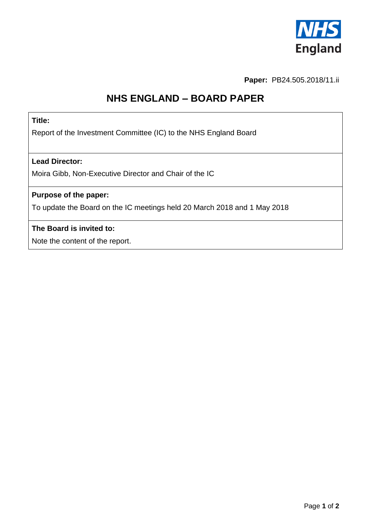

**Paper:** PB24.505.2018/11.ii

# **NHS ENGLAND – BOARD PAPER**

### **Title:**

Report of the Investment Committee (IC) to the NHS England Board

#### **Lead Director:**

Moira Gibb, Non-Executive Director and Chair of the IC

# **Purpose of the paper:**

To update the Board on the IC meetings held 20 March 2018 and 1 May 2018

#### **The Board is invited to:**

Note the content of the report.